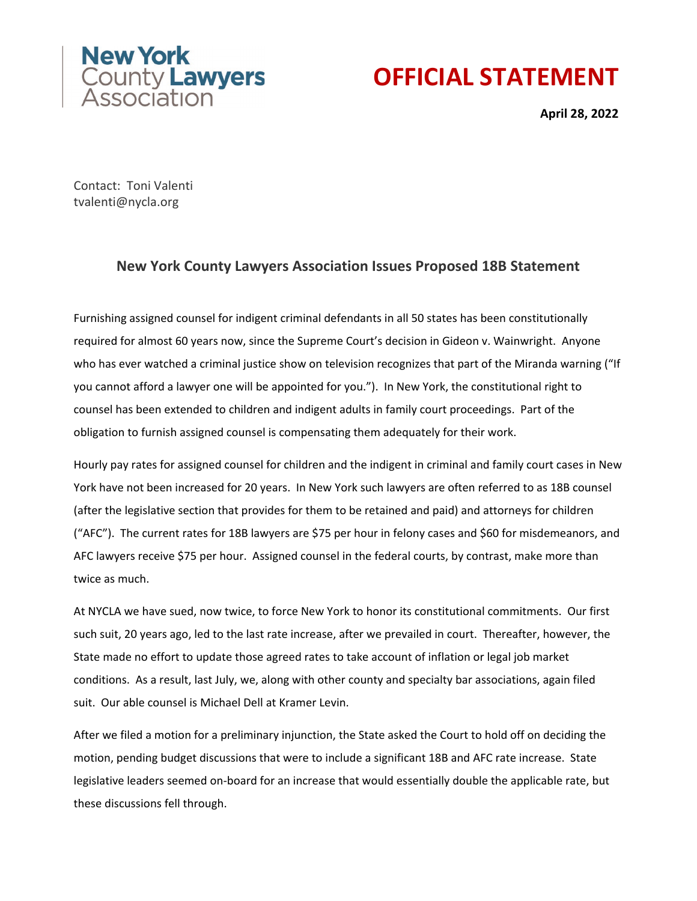

## **OFFICIAL STATEMENT**

**April 28, 2022**

Contact: Toni Valenti tvalenti@nycla.org

## **New York County Lawyers Association Issues Proposed 18B Statement**

Furnishing assigned counsel for indigent criminal defendants in all 50 states has been constitutionally required for almost 60 years now, since the Supreme Court's decision in Gideon v. Wainwright. Anyone who has ever watched a criminal justice show on television recognizes that part of the Miranda warning ("If you cannot afford a lawyer one will be appointed for you."). In New York, the constitutional right to counsel has been extended to children and indigent adults in family court proceedings. Part of the obligation to furnish assigned counsel is compensating them adequately for their work.

Hourly pay rates for assigned counsel for children and the indigent in criminal and family court cases in New York have not been increased for 20 years. In New York such lawyers are often referred to as 18B counsel (after the legislative section that provides for them to be retained and paid) and attorneys for children ("AFC"). The current rates for 18B lawyers are \$75 per hour in felony cases and \$60 for misdemeanors, and AFC lawyers receive \$75 per hour. Assigned counsel in the federal courts, by contrast, make more than twice as much.

At NYCLA we have sued, now twice, to force New York to honor its constitutional commitments. Our first such suit, 20 years ago, led to the last rate increase, after we prevailed in court. Thereafter, however, the State made no effort to update those agreed rates to take account of inflation or legal job market conditions. As a result, last July, we, along with other county and specialty bar associations, again filed suit. Our able counsel is Michael Dell at Kramer Levin.

After we filed a motion for a preliminary injunction, the State asked the Court to hold off on deciding the motion, pending budget discussions that were to include a significant 18B and AFC rate increase. State legislative leaders seemed on-board for an increase that would essentially double the applicable rate, but these discussions fell through.